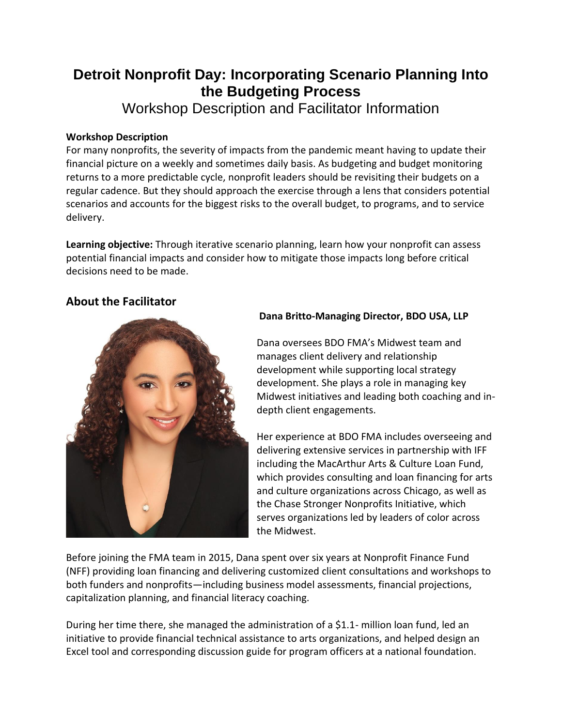# **Detroit Nonprofit Day: Incorporating Scenario Planning Into the Budgeting Process**

Workshop Description and Facilitator Information

### **Workshop Description**

For many nonprofits, the severity of impacts from the pandemic meant having to update their financial picture on a weekly and sometimes daily basis. As budgeting and budget monitoring returns to a more predictable cycle, nonprofit leaders should be revisiting their budgets on a regular cadence. But they should approach the exercise through a lens that considers potential scenarios and accounts for the biggest risks to the overall budget, to programs, and to service delivery.

**Learning objective:** Through iterative scenario planning, learn how your nonprofit can assess potential financial impacts and consider how to mitigate those impacts long before critical decisions need to be made.

# **About the Facilitator**



## **Dana Britto-Managing Director, BDO USA, LLP**

Dana oversees BDO FMA's Midwest team and manages client delivery and relationship development while supporting local strategy development. She plays a role in managing key Midwest initiatives and leading both coaching and indepth client engagements.

Her experience at BDO FMA includes overseeing and delivering extensive services in partnership with IFF including the MacArthur Arts & Culture Loan Fund, which provides consulting and loan financing for arts and culture organizations across Chicago, as well as the Chase Stronger Nonprofits Initiative, which serves organizations led by leaders of color across the Midwest.

Before joining the FMA team in 2015, Dana spent over six years at Nonprofit Finance Fund (NFF) providing loan financing and delivering customized client consultations and workshops to both funders and nonprofits—including business model assessments, financial projections, capitalization planning, and financial literacy coaching.

During her time there, she managed the administration of a \$1.1- million loan fund, led an initiative to provide financial technical assistance to arts organizations, and helped design an Excel tool and corresponding discussion guide for program officers at a national foundation.